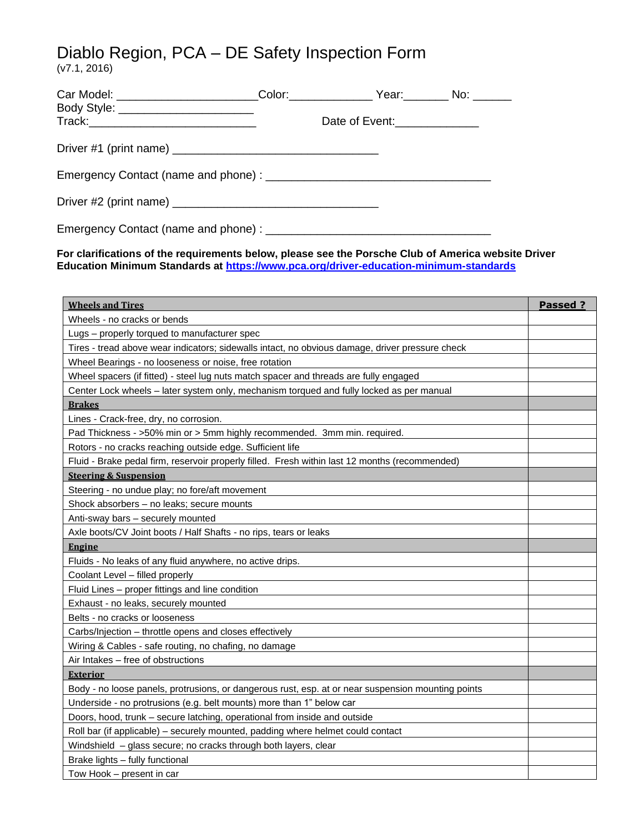# Diablo Region, PCA – DE Safety Inspection Form

(v7.1, 2016)

| Body Style: __________________________ |  |                              |  |
|----------------------------------------|--|------------------------------|--|
|                                        |  | Date of Event:______________ |  |
|                                        |  |                              |  |
|                                        |  |                              |  |
|                                        |  |                              |  |
|                                        |  |                              |  |

**For clarifications of the requirements below, please see the Porsche Club of America website Driver Education Minimum Standards at<https://www.pca.org/driver-education-minimum-standards>**

| <b>Wheels and Tires</b>                                                                            | Passed ? |  |  |  |
|----------------------------------------------------------------------------------------------------|----------|--|--|--|
| Wheels - no cracks or bends                                                                        |          |  |  |  |
| Lugs – properly torqued to manufacturer spec                                                       |          |  |  |  |
| Tires - tread above wear indicators; sidewalls intact, no obvious damage, driver pressure check    |          |  |  |  |
| Wheel Bearings - no looseness or noise, free rotation                                              |          |  |  |  |
| Wheel spacers (if fitted) - steel lug nuts match spacer and threads are fully engaged              |          |  |  |  |
| Center Lock wheels - later system only, mechanism torqued and fully locked as per manual           |          |  |  |  |
| <b>Brakes</b>                                                                                      |          |  |  |  |
| Lines - Crack-free, dry, no corrosion.                                                             |          |  |  |  |
| Pad Thickness - >50% min or > 5mm highly recommended. 3mm min. required.                           |          |  |  |  |
| Rotors - no cracks reaching outside edge. Sufficient life                                          |          |  |  |  |
| Fluid - Brake pedal firm, reservoir properly filled. Fresh within last 12 months (recommended)     |          |  |  |  |
| <b>Steering &amp; Suspension</b>                                                                   |          |  |  |  |
| Steering - no undue play; no fore/aft movement                                                     |          |  |  |  |
| Shock absorbers - no leaks; secure mounts                                                          |          |  |  |  |
| Anti-sway bars - securely mounted                                                                  |          |  |  |  |
| Axle boots/CV Joint boots / Half Shafts - no rips, tears or leaks                                  |          |  |  |  |
| <b>Engine</b>                                                                                      |          |  |  |  |
| Fluids - No leaks of any fluid anywhere, no active drips.                                          |          |  |  |  |
| Coolant Level - filled properly                                                                    |          |  |  |  |
| Fluid Lines – proper fittings and line condition                                                   |          |  |  |  |
| Exhaust - no leaks, securely mounted                                                               |          |  |  |  |
| Belts - no cracks or looseness                                                                     |          |  |  |  |
| Carbs/Injection – throttle opens and closes effectively                                            |          |  |  |  |
| Wiring & Cables - safe routing, no chafing, no damage                                              |          |  |  |  |
| Air Intakes - free of obstructions                                                                 |          |  |  |  |
| <b>Exterior</b>                                                                                    |          |  |  |  |
| Body - no loose panels, protrusions, or dangerous rust, esp. at or near suspension mounting points |          |  |  |  |
| Underside - no protrusions (e.g. belt mounts) more than 1" below car                               |          |  |  |  |
| Doors, hood, trunk - secure latching, operational from inside and outside                          |          |  |  |  |
| Roll bar (if applicable) - securely mounted, padding where helmet could contact                    |          |  |  |  |
| Windshield - glass secure; no cracks through both layers, clear                                    |          |  |  |  |
| Brake lights - fully functional                                                                    |          |  |  |  |
| Tow Hook - present in car                                                                          |          |  |  |  |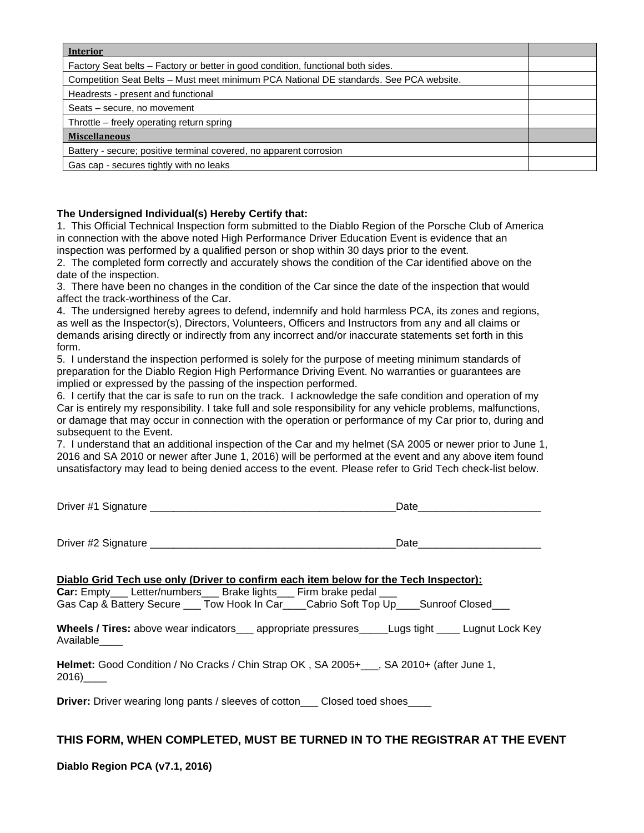| <b>Interior</b>                                                                        |  |  |  |
|----------------------------------------------------------------------------------------|--|--|--|
| Factory Seat belts - Factory or better in good condition, functional both sides.       |  |  |  |
| Competition Seat Belts - Must meet minimum PCA National DE standards. See PCA website. |  |  |  |
| Headrests - present and functional                                                     |  |  |  |
| Seats – secure, no movement                                                            |  |  |  |
| Throttle – freely operating return spring                                              |  |  |  |
| <b>Miscellaneous</b>                                                                   |  |  |  |
| Battery - secure; positive terminal covered, no apparent corrosion                     |  |  |  |
| Gas cap - secures tightly with no leaks                                                |  |  |  |

#### **The Undersigned Individual(s) Hereby Certify that:**

1. This Official Technical Inspection form submitted to the Diablo Region of the Porsche Club of America in connection with the above noted High Performance Driver Education Event is evidence that an inspection was performed by a qualified person or shop within 30 days prior to the event.

2. The completed form correctly and accurately shows the condition of the Car identified above on the date of the inspection.

3. There have been no changes in the condition of the Car since the date of the inspection that would affect the track-worthiness of the Car.

4. The undersigned hereby agrees to defend, indemnify and hold harmless PCA, its zones and regions, as well as the Inspector(s), Directors, Volunteers, Officers and Instructors from any and all claims or demands arising directly or indirectly from any incorrect and/or inaccurate statements set forth in this form.

5. I understand the inspection performed is solely for the purpose of meeting minimum standards of preparation for the Diablo Region High Performance Driving Event. No warranties or guarantees are implied or expressed by the passing of the inspection performed.

6. I certify that the car is safe to run on the track. I acknowledge the safe condition and operation of my Car is entirely my responsibility. I take full and sole responsibility for any vehicle problems, malfunctions, or damage that may occur in connection with the operation or performance of my Car prior to, during and subsequent to the Event.

7. I understand that an additional inspection of the Car and my helmet (SA 2005 or newer prior to June 1, 2016 and SA 2010 or newer after June 1, 2016) will be performed at the event and any above item found unsatisfactory may lead to being denied access to the event. Please refer to Grid Tech check-list below.

| Driver #1 | Sionature | ٬+۰<br>. .<br>. |
|-----------|-----------|-----------------|
|           |           |                 |

Driver #2 Signature **Date Date Date Date Date Date Date Date Date Date Date Date Date Date Date D** 

**Diablo Grid Tech use only (Driver to confirm each item below for the Tech Inspector):**

**Car:** Empty\_\_\_ Letter/numbers\_\_\_ Brake lights\_\_\_ Firm brake pedal \_\_\_ Gas Cap & Battery Secure \_\_\_ Tow Hook In Car\_\_\_\_Cabrio Soft Top Up\_\_\_\_Sunroof Closed

**Wheels / Tires:** above wear indicators\_\_\_ appropriate pressures\_\_\_\_\_Lugs tight \_\_\_\_ Lugnut Lock Key Available\_\_\_\_

**Helmet:** Good Condition / No Cracks / Chin Strap OK , SA 2005+\_\_\_, SA 2010+ (after June 1, 2016)\_\_\_\_

**Driver:** Driver wearing long pants / sleeves of cotton Closed toed shoes

# **THIS FORM, WHEN COMPLETED, MUST BE TURNED IN TO THE REGISTRAR AT THE EVENT**

#### **Diablo Region PCA (v7.1, 2016)**